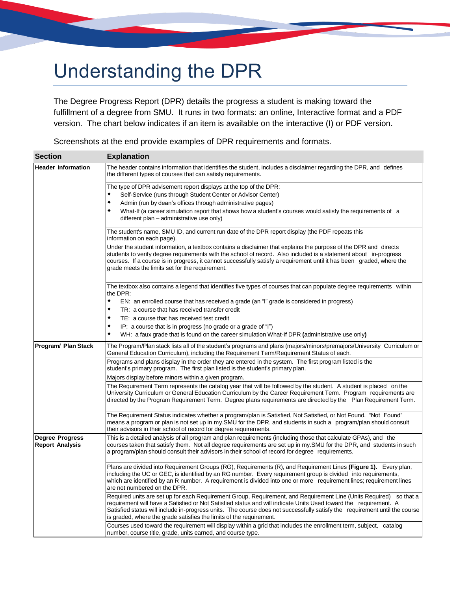# Understanding the DPR

The Degree Progress Report (DPR) details the progress a student is making toward the fulfillment of a degree from SMU. It runs in two formats: an online, Interactive format and a PDF version. The chart below indicates if an item is available on the interactive (I) or PDF version.

Screenshots at the end provide examples of DPR requirements and formats.

| <b>Section</b>                                   | <b>Explanation</b>                                                                                                                                                                                                                                                                                                                                                                                                                          |
|--------------------------------------------------|---------------------------------------------------------------------------------------------------------------------------------------------------------------------------------------------------------------------------------------------------------------------------------------------------------------------------------------------------------------------------------------------------------------------------------------------|
| <b>Header Information</b>                        | The header contains information that identifies the student, includes a disclaimer regarding the DPR, and defines<br>the different types of courses that can satisfy requirements.                                                                                                                                                                                                                                                          |
|                                                  | The type of DPR advisement report displays at the top of the DPR:<br>Self-Service (runs through Student Center or Advisor Center)<br>Admin (run by dean's offices through administrative pages)<br>٠<br>٠<br>What-If (a career simulation report that shows how a student's courses would satisfy the requirements of a<br>different plan - administrative use only)                                                                        |
|                                                  | The student's name, SMU ID, and current run date of the DPR report display (the PDF repeats this<br>information on each page).                                                                                                                                                                                                                                                                                                              |
|                                                  | Under the student information, a textbox contains a disclaimer that explains the purpose of the DPR and directs<br>students to verify degree requirements with the school of record. Also included is a statement about in-progress<br>courses. If a course is in progress, it cannot successfully satisfy a requirement until it has been graded, where the<br>grade meets the limits set for the requirement.                             |
|                                                  | The textbox also contains a legend that identifies five types of courses that can populate degree requirements within<br>the DPR:                                                                                                                                                                                                                                                                                                           |
|                                                  | $\bullet$<br>EN: an enrolled course that has received a grade (an "I" grade is considered in progress)<br>٠<br>TR: a course that has received transfer credit                                                                                                                                                                                                                                                                               |
|                                                  | ٠<br>TE: a course that has received test credit                                                                                                                                                                                                                                                                                                                                                                                             |
|                                                  | IP: a course that is in progress (no grade or a grade of "I")<br>٠<br>WH: a faux grade that is found on the career simulation What-If DPR (administrative use only)                                                                                                                                                                                                                                                                         |
| Program/ Plan Stack                              | The Program/Plan stack lists all of the student's programs and plans (majors/minors/premajors/University Curriculum or<br>General Education Curriculum), including the Requirement Term/Requirement Status of each.                                                                                                                                                                                                                         |
|                                                  | Programs and plans display in the order they are entered in the system. The first program listed is the<br>student's primary program. The first plan listed is the student's primary plan.                                                                                                                                                                                                                                                  |
|                                                  | Majors display before minors within a given program.                                                                                                                                                                                                                                                                                                                                                                                        |
|                                                  | The Requirement Term represents the catalog year that will be followed by the student. A student is placed on the<br>University Curriculum or General Education Curriculum by the Career Requirement Term. Program requirements are<br>directed by the Program Requirement Term. Degree plans requirements are directed by the Plan Requirement Term.                                                                                       |
|                                                  | The Requirement Status indicates whether a program/plan is Satisfied, Not Satisfied, or Not Found. "Not Found"<br>means a program or plan is not set up in my.SMU for the DPR, and students in such a program/plan should consult<br>their advisors in their school of record for degree requirements.                                                                                                                                      |
| <b>Degree Progress</b><br><b>Report Analysis</b> | This is a detailed analysis of all program and plan requirements (including those that calculate GPAs), and the<br>courses taken that satisfy them. Not all degree requirements are set up in my.SMU for the DPR, and students in such<br>a program/plan should consult their advisors in their school of record for degree requirements.                                                                                                   |
|                                                  | Plans are divided into Requirement Groups (RG), Requirements (R), and Requirement Lines (Figure 1). Every plan,<br>including the UC or GEC, is identified by an RG number. Every requirement group is divided into requirements,<br>which are identified by an R number. A requirement is divided into one or more requirement lines; requirement lines<br>are not numbered on the DPR.                                                     |
|                                                  | Required units are set up for each Requirement Group, Requirement, and Requirement Line (Units Required) so that a<br>requirement will have a Satisfied or Not Satisfied status and will indicate Units Used toward the requirement. A<br>Satisfied status will include in-progress units. The course does not successfully satisfy the requirement until the course<br>is graded, where the grade satisfies the limits of the requirement. |
|                                                  | Courses used toward the requirement will display within a grid that includes the enrollment term, subject, catalog<br>number, course title, grade, units earned, and course type.                                                                                                                                                                                                                                                           |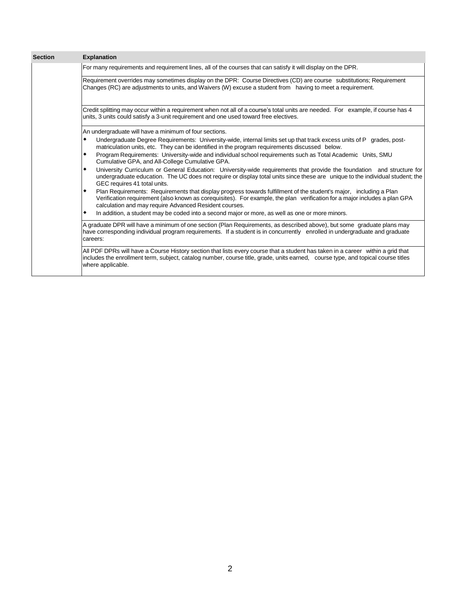| <b>Section</b> | <b>Explanation</b>                                                                                                                                                                                                                                                                                             |
|----------------|----------------------------------------------------------------------------------------------------------------------------------------------------------------------------------------------------------------------------------------------------------------------------------------------------------------|
|                | For many requirements and requirement lines, all of the courses that can satisfy it will display on the DPR.                                                                                                                                                                                                   |
|                | Requirement overrides may sometimes display on the DPR: Course Directives (CD) are course substitutions; Requirement<br>Changes (RC) are adjustments to units, and Waivers (W) excuse a student from having to meet a requirement.                                                                             |
|                | Credit splitting may occur within a requirement when not all of a course's total units are needed. For example, if course has 4<br>units, 3 units could satisfy a 3-unit requirement and one used toward free electives.                                                                                       |
|                | An undergraduate will have a minimum of four sections.                                                                                                                                                                                                                                                         |
|                | Undergraduate Degree Requirements: University-wide, internal limits set up that track excess units of P grades, post-<br>٠<br>matriculation units, etc. They can be identified in the program requirements discussed below.                                                                                    |
|                | Program Requirements: University-wide and individual school requirements such as Total Academic Units, SMU<br>٠<br>Cumulative GPA, and All-College Cumulative GPA.                                                                                                                                             |
|                | University Curriculum or General Education: University-wide requirements that provide the foundation and structure for<br>٠<br>undergraduate education. The UC does not require or display total units since these are unique to the individual student; the<br>GEC requires 41 total units.                   |
|                | Plan Requirements: Requirements that display progress towards fulfillment of the student's major, including a Plan<br>٠<br>Verification requirement (also known as corequisites). For example, the plan verification for a major includes a plan GPA<br>calculation and may require Advanced Resident courses. |
|                | In addition, a student may be coded into a second major or more, as well as one or more minors.<br>٠                                                                                                                                                                                                           |
|                | A graduate DPR will have a minimum of one section (Plan Requirements, as described above), but some graduate plans may<br>have corresponding individual program requirements. If a student is in concurrently enrolled in undergraduate and graduate<br>careers:                                               |
|                | All PDF DPRs will have a Course History section that lists every course that a student has taken in a career within a grid that<br>includes the enrollment term, subject, catalog number, course title, grade, units earned, course type, and topical course titles<br>where applicable.                       |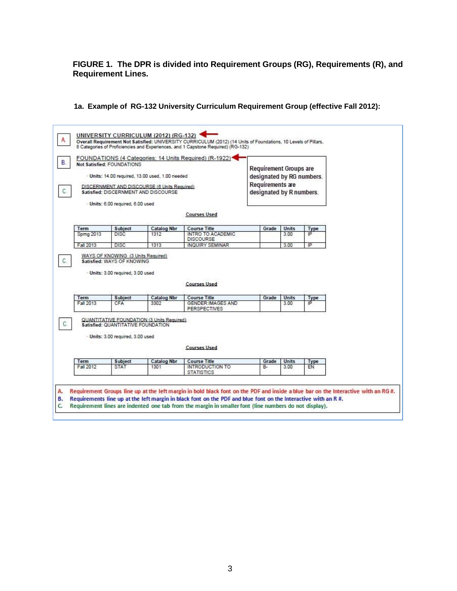**FIGURE 1. The DPR is divided into Requirement Groups (RG), Requirements (R), and Requirement Lines.**

# **1a. Example of RG-132 University Curriculum Requirement Group (effective Fall 2012):**

| FOUNDATIONS (4 Categories; 14 Units Required) (R-1922)*<br>Not Satisfied: FOUNDATIONS<br>- Units: 14.00 required, 13.00 used, 1.00 needed<br>DISCERNMENT AND DISCOURSE (6 Units Required)<br>Satisfied: DISCERNMENT AND DISCOURSE<br>- Units: 6.00 required, 6.00 used |                                                                                                       |                                            | <b>Requirement Groups are</b><br>designated by RG numbers.<br>Requirements are<br>designated by R numbers. |             |               |            |  |
|------------------------------------------------------------------------------------------------------------------------------------------------------------------------------------------------------------------------------------------------------------------------|-------------------------------------------------------------------------------------------------------|--------------------------------------------|------------------------------------------------------------------------------------------------------------|-------------|---------------|------------|--|
|                                                                                                                                                                                                                                                                        |                                                                                                       |                                            | <b>Courses Used</b>                                                                                        |             |               |            |  |
|                                                                                                                                                                                                                                                                        |                                                                                                       |                                            |                                                                                                            |             |               |            |  |
| Term<br><b>Spmg 2013</b>                                                                                                                                                                                                                                               | Subject<br><b>DISC</b>                                                                                | <b>Catalog Nbr</b><br>1312                 | <b>Course Title</b><br><b>INTRO TO ACADEMIC</b>                                                            | Grade       | Units<br>3.00 | Type<br>P  |  |
|                                                                                                                                                                                                                                                                        |                                                                                                       |                                            | <b>DISCOURSE</b>                                                                                           |             |               |            |  |
|                                                                                                                                                                                                                                                                        | <b>DISC</b>                                                                                           |                                            |                                                                                                            |             | 3.00          | ΙP         |  |
|                                                                                                                                                                                                                                                                        | WAYS OF KNOWING (3 Units Required)<br>Satisfied: WAYS OF KNOWING<br>- Units: 3.00 required, 3.00 used | 1313                                       | INQUIRY SEMINAR                                                                                            |             |               |            |  |
| Fall 2013                                                                                                                                                                                                                                                              |                                                                                                       |                                            | <b>Courses Used</b>                                                                                        |             |               |            |  |
| Term<br>Fall 2013                                                                                                                                                                                                                                                      | <b>Subject</b><br>CFA                                                                                 | <b>Catalog Nbr</b><br>3302                 | <b>Course Title</b><br><b>GENDER: IMAGES AND</b><br><b>PERSPECTIVES</b>                                    | Grade       | Units<br>3.00 | Type<br>P  |  |
|                                                                                                                                                                                                                                                                        | Satisfied: QUANTITATIVE FOUNDATION<br>- Units: 3.00 required, 3.00 used                               | QUANTITATIVE FOUNDATION (3 Units Required) | <b>Courses Used</b>                                                                                        |             |               |            |  |
| Term<br>Fall 2012                                                                                                                                                                                                                                                      | Subject<br><b>STAT</b>                                                                                | <b>Catalog Nbr</b><br>1301                 | <b>Course Title</b><br>INTRODUCTION TO                                                                     | Grade<br>B- | Units<br>3.00 | Type<br>EN |  |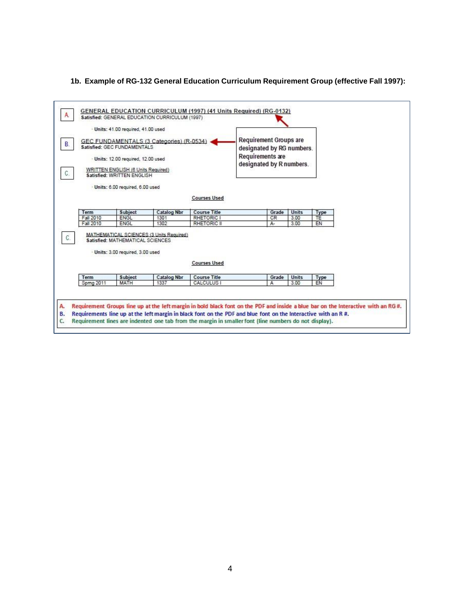#### **1b. Example of RG-132 General Education Curriculum Requirement Group (effective Fall 1997):**

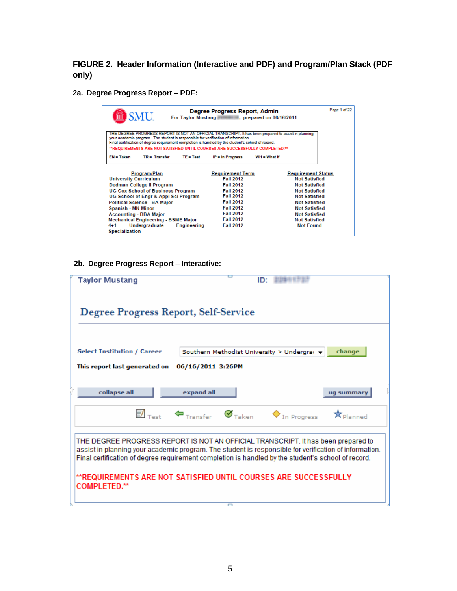**FIGURE 2. Header Information (Interactive and PDF) and Program/Plan Stack (PDF only)**

**2a. Degree Progress Report – PDF:**

| SMU.                                                                                                                                                                                                                                                                                                                                                                                 | Degree Progress Report, Admin                                                                                                                                                                               | For Taylor Mustang <b>Figure 10</b> , prepared on 06/16/2011                                                                                                                                                                                  | Page 1 of 22 |
|--------------------------------------------------------------------------------------------------------------------------------------------------------------------------------------------------------------------------------------------------------------------------------------------------------------------------------------------------------------------------------------|-------------------------------------------------------------------------------------------------------------------------------------------------------------------------------------------------------------|-----------------------------------------------------------------------------------------------------------------------------------------------------------------------------------------------------------------------------------------------|--------------|
| THE DEGREE PROGRESS REPORT IS NOT AN OFFICIAL TRANSCRIPT. It has been prepared to assist in planning<br>your academic program. The student is responsible for verification of information.<br>Final certification of degree requirement completion is handled by the student's school of record.<br>"REQUIREMENTS ARE NOT SATISFIED UNTIL COURSES ARE SUCCESSFULLY COMPLETED.**      |                                                                                                                                                                                                             |                                                                                                                                                                                                                                               |              |
| $EN = Taken$<br>$TR = Transfer$<br>$TE = Test$                                                                                                                                                                                                                                                                                                                                       | $IP = In$ Progress                                                                                                                                                                                          | $WH = What$ If                                                                                                                                                                                                                                |              |
| Program/Plan<br><b>University Curriculum</b><br>Dedman College II Program<br><b>UG Cox School of Business Program</b><br>UG School of Engr & Appl Sci Program<br><b>Political Science - BA Major</b><br>Spanish - MN Minor<br><b>Accounting - BBA Major</b><br><b>Mechanical Engineering - BSME Major</b><br>Undergraduate<br><b>Engineering</b><br>$4 + 1$<br><b>Specialization</b> | <b>Requirement Term</b><br><b>Fall 2012</b><br><b>Fall 2012</b><br><b>Fall 2012</b><br><b>Fall 2012</b><br><b>Fall 2012</b><br><b>Fall 2012</b><br><b>Fall 2012</b><br><b>Fall 2012</b><br><b>Fall 2012</b> | <b>Requirement Status</b><br><b>Not Satisfied</b><br><b>Not Satisfied</b><br><b>Not Satisfied</b><br><b>Not Satisfied</b><br><b>Not Satisfied</b><br><b>Not Satisfied</b><br><b>Not Satisfied</b><br><b>Not Satisfied</b><br><b>Not Found</b> |              |

### **2b. Degree Progress Report – Interactive:**

| Taylor Mustang                                                                                                                                                                                                                                                                                   |                                                                                                  | ID: |                                     |
|--------------------------------------------------------------------------------------------------------------------------------------------------------------------------------------------------------------------------------------------------------------------------------------------------|--------------------------------------------------------------------------------------------------|-----|-------------------------------------|
| Degree Progress Report, Self-Service                                                                                                                                                                                                                                                             |                                                                                                  |     |                                     |
| <b>Select Institution / Career</b>                                                                                                                                                                                                                                                               | Southern Methodist University > Undergran +                                                      |     | change                              |
| This report last generated on                                                                                                                                                                                                                                                                    | 06/16/2011 3:26PM                                                                                |     |                                     |
| collapse all                                                                                                                                                                                                                                                                                     | expand all                                                                                       |     | ug summar                           |
|                                                                                                                                                                                                                                                                                                  | $\overline{\mathbb{B}}$ Transfer $\mathcal{G}_{\text{Taken}}$ $\mathcal{G}_{\text{In Progress}}$ |     | $\hat{\mathbf{x}}_{\text{Planned}}$ |
| THE DEGREE PROGRESS REPORT IS NOT AN OFFICIAL TRANSCRIPT. It has been prepared to<br>assist in planning your academic program. The student is responsible for verification of information.<br>Final certification of degree requirement completion is handled by the student's school of record. |                                                                                                  |     |                                     |
| **REQUIREMENTS ARE NOT SATISFIED UNTIL COURSES ARE SUCCESSFULLY<br><b>COMPLETED.**</b>                                                                                                                                                                                                           |                                                                                                  |     |                                     |
|                                                                                                                                                                                                                                                                                                  |                                                                                                  |     |                                     |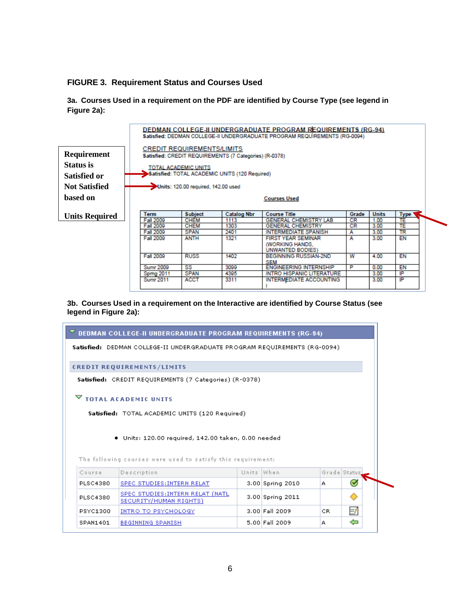#### **FIGURE 3. Requirement Status and Courses Used**

**3a. Courses Used in a requirement on the PDF are identified by Course Type (see legend in Figure 2a):**



#### **3b. Courses Used in a requirement on the Interactive are identified by Course Status (see legend in Figure 2a):**

|          | $\triangledown$ DEDMAN COLLEGE-II UNDERGRADUATE PROGRAM REQUIREMENTS (RG-94)                                        |            |                      |              |              |
|----------|---------------------------------------------------------------------------------------------------------------------|------------|----------------------|--------------|--------------|
|          | Satisfied: DEDMAN COLLEGE-II UNDERGRADUATE PROGRAM REQUIREMENTS (RG-0094)                                           |            |                      |              |              |
|          | <b>CREDIT REQUIREMENTS/LIMITS</b>                                                                                   |            |                      |              |              |
|          | Satisfied: CREDIT REQUIREMENTS (7 Categories) (R-0378)                                                              |            |                      |              |              |
|          | $\triangledown$ total academic units                                                                                |            |                      |              |              |
|          |                                                                                                                     |            |                      |              |              |
|          | Satisfied: TOTAL ACADEMIC UNITS (120 Required)                                                                      |            |                      |              |              |
|          | · Units: 120.00 required, 142.00 taken, 0.00 needed<br>The following courses were used to satisfy this requirement: |            |                      |              |              |
| Course   | Description                                                                                                         | Units When |                      | Grade Status |              |
| PLSC4380 | SPEC STUDIES: INTERN RELAT                                                                                          |            | $3.00$ Spring 2010   | A            | $\checkmark$ |
| PLSC4380 | SPEC STUDIES: INTERN RELAT (NATL<br>SECURITY/HUMAN RIGHTS)                                                          |            | $3.00$ Spring $2011$ |              |              |
| PSYC1300 | INTRO TO PSYCHOLOGY                                                                                                 |            | $3.00$ Fall $2009$   | CR.          | Ħ,           |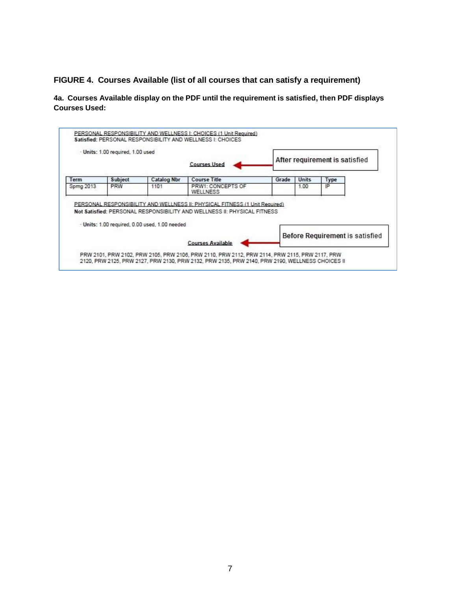# **FIGURE 4. Courses Available (list of all courses that can satisfy a requirement)**

**4a. Courses Available display on the PDF until the requirement is satisfied, then PDF displays Courses Used:**

|            | - Units: 1.00 required, 1.00 used |                                                | <b>Courses Used</b>                                                                                                                                     |       |       | After requirement is satisfied  |  |
|------------|-----------------------------------|------------------------------------------------|---------------------------------------------------------------------------------------------------------------------------------------------------------|-------|-------|---------------------------------|--|
| Term       | <b>Subject</b>                    | <b>Catalog Nbr</b>                             | <b>Course Title</b>                                                                                                                                     | Grade | Units | Type                            |  |
| Sprng 2013 | <b>PRW</b>                        | 1101                                           | PRW1: CONCEPTS OF<br>WELLNESS                                                                                                                           |       | 1.00  | łΡ                              |  |
|            |                                   | - Units: 1.00 required, 0.00 used, 1.00 needed | PERSONAL RESPONSIBILITY AND WELLNESS II: PHYSICAL FITNESS (1 Unit Required)<br>Not Satisfied: PERSONAL RESPONSIBILITY AND WELLNESS II: PHYSICAL FITNESS |       |       | Before Requirement is satisfied |  |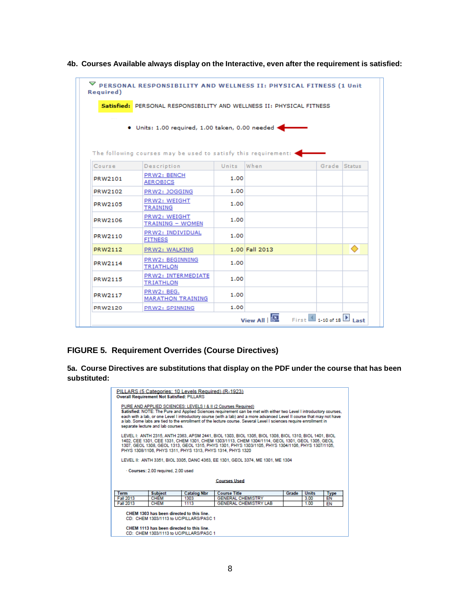|         | Satisfied: PERSONAL RESPONSIBILITY AND WELLNESS II: PHYSICAL FITNESS            |       |                |       |               |
|---------|---------------------------------------------------------------------------------|-------|----------------|-------|---------------|
|         | · Units: 1.00 required, 1.00 taken, 0.00 needed <                               |       |                |       |               |
| Course  | The following courses may be used to satisfy this requirement: .<br>Description | Units | When           | Grade | <b>Status</b> |
| PRW2101 | PRW2: BENCH<br><b>AEROBICS</b>                                                  | 1.00  |                |       |               |
| PRW2102 | PRW2: JOGGING                                                                   | 1.00  |                |       |               |
| PRW2105 | PRW2: WEIGHT<br><b>TRAINING</b>                                                 | 1.00  |                |       |               |
| PRW2106 | PRW2: WEIGHT<br><b>TRAINING - WOMEN</b>                                         | 1.00  |                |       |               |
| PRW2110 | PRW2: INDIVIDUAL<br><b>FITNESS</b>                                              | 1.00  |                |       |               |
| PRW2112 | PRW2: WALKING                                                                   |       | 1.00 Fall 2013 |       | ◠             |
| PRW2114 | PRW2: BEGINNING<br><b>TRIATHLON</b>                                             | 1.00  |                |       |               |
| PRW2115 | PRW2: INTERMEDIATE<br>TRIATHLON                                                 | 1.00  |                |       |               |
| PRW2117 | PRW2: BEG.<br><b>MARATHON TRAINING</b>                                          | 1.00  |                |       |               |
| PRW2120 | PRW2: SPINNING                                                                  | 1.00  |                |       |               |

**4b. Courses Available always display on the Interactive, even after the requirement is satisfied:**

# **FIGURE 5. Requirement Overrides (Course Directives)**

**5a. Course Directives are substitutions that display on the PDF under the course that has been substituted:**

| PILLARS (5 Categories: 10 Levels Required) (R-1923)<br><b>Overall Requirement Not Satisfied: PILLARS</b>                                                                     |                    |                                                                                                                                                                                                                                                                                                                                                                    |       |              |      |
|------------------------------------------------------------------------------------------------------------------------------------------------------------------------------|--------------------|--------------------------------------------------------------------------------------------------------------------------------------------------------------------------------------------------------------------------------------------------------------------------------------------------------------------------------------------------------------------|-------|--------------|------|
| PURE AND APPLIED SCIENCES: LEVELS I & II (2 Courses Required)<br>separate lecture and lab courses.                                                                           |                    | Satisfied: NOTE: The Pure and Applied Sciences requirement can be met with either two Level I introductory courses,<br>each with a lab, or one Level I introductory course (with a lab) and a more advanced Level II course that may not have<br>a lab. Some labs are tied to the enrollment of the lecture course. Several Level I sciences require enrollment in |       |              |      |
| PHYS 1308/1106, PHYS 1311, PHYS 1313, PHYS 1314, PHYS 1320                                                                                                                   |                    | LEVEL I: ANTH 2315, ANTH 2363, APSM 2441, BIOL 1303, BIOL 1305, BIOL 1308, BIOL 1310, BIOL 1401, BIOL<br>1402, CEE 1301, CEE 1331, CHEM 1301, CHEM 1303/1113, CHEM 1304/1114, GEOL 1301, GEOL 1305, GEOL<br>1307, GEOL 1308, GEOL 1313, GEOL 1315, PHYS 1301, PHYS 1303/1105, PHYS 1304/1106, PHYS 1307/1105,                                                      |       |              |      |
|                                                                                                                                                                              |                    | LEVEL II: ANTH 3351, BIOL 3305, DANC 4363, EE 1301, GEOL 3374, ME 1301, ME 1304                                                                                                                                                                                                                                                                                    |       |              |      |
| - Courses: 2.00 required, 2.00 used                                                                                                                                          |                    |                                                                                                                                                                                                                                                                                                                                                                    |       |              |      |
|                                                                                                                                                                              |                    | <b>Courses Used</b>                                                                                                                                                                                                                                                                                                                                                |       |              |      |
| <b>Subject</b><br><b>Term</b>                                                                                                                                                | <b>Catalog Nbr</b> | <b>Course Title</b>                                                                                                                                                                                                                                                                                                                                                | Grade | <b>Units</b> | Type |
| Fall 2013<br><b>CHEM</b>                                                                                                                                                     | 1303               | <b>GENERAL CHEMISTRY</b>                                                                                                                                                                                                                                                                                                                                           |       | 3.00         | EN   |
| Fall 2013<br><b>CHEM</b>                                                                                                                                                     | 1113               | <b>GENERAL CHEMISTRY LAB</b>                                                                                                                                                                                                                                                                                                                                       |       | 1.00         | EN   |
| CHEM 1303 has been directed to this line.<br>CD: CHEM 1303/1113 to UC/PILLARS/PASC 1<br>CHEM 1113 has been directed to this line.<br>CD: CHEM 1303/1113 to UC/PILLARS/PASC 1 |                    |                                                                                                                                                                                                                                                                                                                                                                    |       |              |      |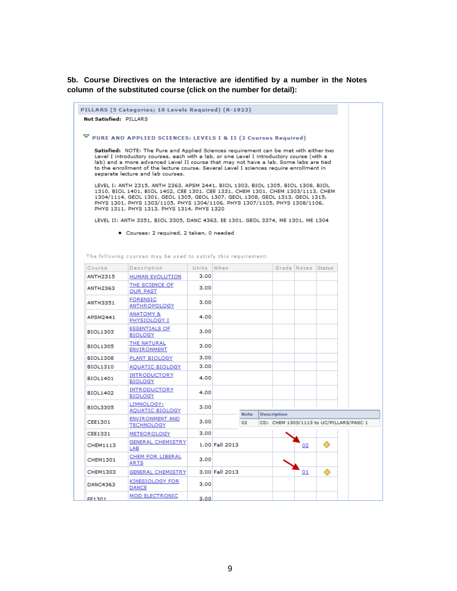**5b. Course Directives on the Interactive are identified by a number in the Notes column of the substituted course (click on the number for detail):**

|                        | PILLARS (5 Categories; 10 Levels Required) (R-1923)                                                                                                                                                                                                                                                     |            |                |             |                    |                    |                                         |
|------------------------|---------------------------------------------------------------------------------------------------------------------------------------------------------------------------------------------------------------------------------------------------------------------------------------------------------|------------|----------------|-------------|--------------------|--------------------|-----------------------------------------|
| Not Satisfied: PILLARS |                                                                                                                                                                                                                                                                                                         |            |                |             |                    |                    |                                         |
|                        | $\triangledown$ PURE AND APPLIED SCIENCES: LEVELS I & II (2 Courses Required)<br>Satisfied: NOTE: The Pure and Applied Sciences requirement can be met with either two<br>Level I introductory courses, each with a lab, or one Level I introductory course (with a                                     |            |                |             |                    |                    |                                         |
|                        | lab) and a more advanced Level II course that may not have a lab. Some labs are tied<br>to the enrollment of the lecture course. Several Level I sciences require enrollment in<br>separate lecture and lab courses.<br>LEVEL I: ANTH 2315, ANTH 2363, APSM 2441, BIOL 1303, BIOL 1305, BIOL 1308, BIOL |            |                |             |                    |                    |                                         |
|                        | 1310, BIOL 1401, BIOL 1402, CEE 1301, CEE 1331, CHEM 1301, CHEM 1303/1113, CHEM<br>1304/1114, GEOL 1301, GEOL 1305, GEOL 1307, GEOL 1308, GEOL 1313, GEOL 1315,<br>PHYS 1301, PHYS 1303/1105, PHYS 1304/1106, PHYS 1307/1105, PHYS 1308/1106,<br>PHYS 1311, PHYS 1313, PHYS 1314, PHYS 1320             |            |                |             |                    |                    |                                         |
|                        | LEVEL II: ANTH 3351, BIOL 3305, DANC 4363, EE 1301, GEOL 3374, ME 1301, ME 1304                                                                                                                                                                                                                         |            |                |             |                    |                    |                                         |
| Course                 | • Courses: 2 required, 2 taken, 0 needed<br>The following courses may be used to satisfy this requirement:                                                                                                                                                                                              | Units When |                |             |                    | Grade Notes Status |                                         |
| <b>ANTH2315</b>        | Description<br><b>HUMAN EVOLUTION</b>                                                                                                                                                                                                                                                                   | 3.00       |                |             |                    |                    |                                         |
| ANTH2363               | THE SCIENCE OF<br><b>OUR PAST</b>                                                                                                                                                                                                                                                                       | 3.00       |                |             |                    |                    |                                         |
| ANTH3351               | <b>FORENSIC</b><br>ANTHROPOLOGY                                                                                                                                                                                                                                                                         | 3.00       |                |             |                    |                    |                                         |
| APSM2441               | ANATOMY &<br>PHYSIOLOGY I                                                                                                                                                                                                                                                                               | 4.00       |                |             |                    |                    |                                         |
| BIOL1303               | <b>ESSENTIALS OF</b><br><b>BIOLOGY</b>                                                                                                                                                                                                                                                                  | 3.00       |                |             |                    |                    |                                         |
| BIOL1305               | THE NATURAL<br><b>ENVIRONMENT</b>                                                                                                                                                                                                                                                                       | 3.00       |                |             |                    |                    |                                         |
| <b>BIOL1308</b>        | PLANT BIOLOGY                                                                                                                                                                                                                                                                                           | 3.00       |                |             |                    |                    |                                         |
| BIOL1310               | <b>AQUATIC BIOLOGY</b>                                                                                                                                                                                                                                                                                  | 3.00       |                |             |                    |                    |                                         |
| <b>BIOL1401</b>        | <b>INTRODUCTORY</b><br><b>BIOLOGY</b>                                                                                                                                                                                                                                                                   | 4.00       |                |             |                    |                    |                                         |
| BIOL1402               | <b>INTRODUCTORY</b><br><b>BIOLOGY</b>                                                                                                                                                                                                                                                                   | 4.00       |                |             |                    |                    |                                         |
| BIOL3305               | LIMNOLOGY:<br><b>AQUATIC BIOLOGY</b>                                                                                                                                                                                                                                                                    | 3.00       |                | <b>Note</b> | <b>Description</b> |                    |                                         |
| CEE1301                | <b>ENVIRONMENT AND</b><br><b>TECHNOLOGY</b>                                                                                                                                                                                                                                                             | 3.00       |                | 02          |                    |                    | CD: CHEM 1303/1113 to UC/PILLARS/PASC 1 |
| CEE1331                | <b>METEOROLOGY</b>                                                                                                                                                                                                                                                                                      | 3.00       |                |             |                    |                    |                                         |
| CHEM1113               | <b>GENERAL CHEMISTRY</b><br>LAB                                                                                                                                                                                                                                                                         |            | 1.00 Fall 2013 |             |                    | 02                 |                                         |
| CHEM1301               | CHEM FOR LIBERAL<br>ARTS                                                                                                                                                                                                                                                                                | 3.00       |                |             |                    |                    |                                         |
| <b>CHEM1303</b>        | <b>GENERAL CHEMISTRY</b>                                                                                                                                                                                                                                                                                |            | 3.00 Fall 2013 |             |                    | 01                 |                                         |
| <b>DANC4363</b>        | KINESIOLOGY FOR<br><b>DANCE</b>                                                                                                                                                                                                                                                                         | 3.00       |                |             |                    |                    |                                         |
| -----                  | <b>MOD ELECTRONIC</b>                                                                                                                                                                                                                                                                                   | 5.88       |                |             |                    |                    |                                         |